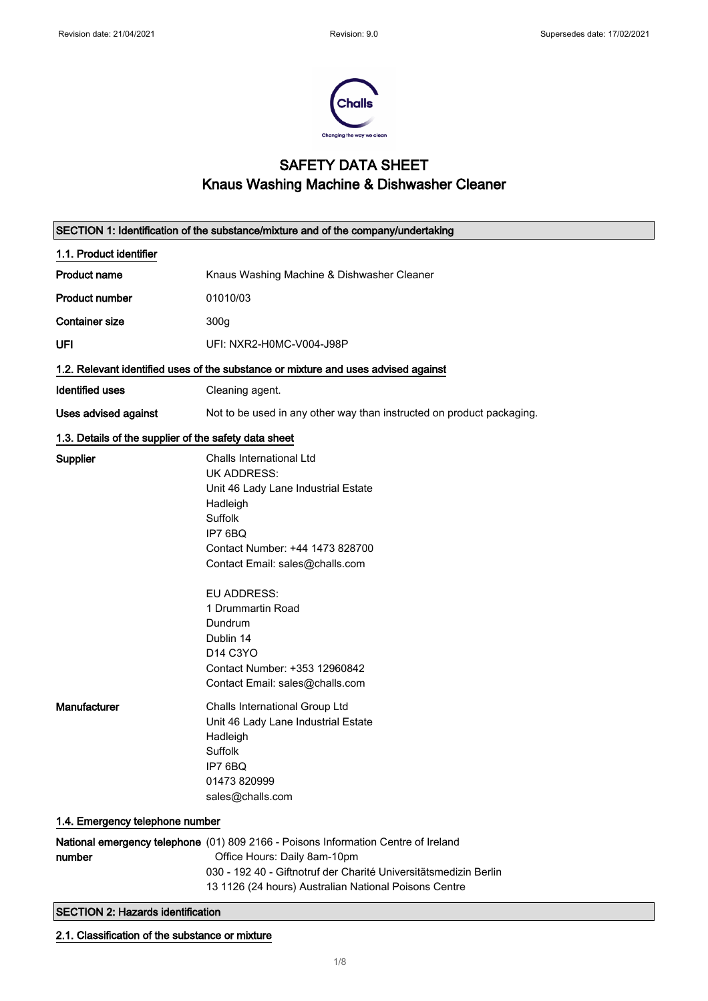

# SAFETY DATA SHEET Knaus Washing Machine & Dishwasher Cleaner

| SECTION 1: Identification of the substance/mixture and of the company/undertaking |                                                                                                                                                                                                                                                                                                                                           |
|-----------------------------------------------------------------------------------|-------------------------------------------------------------------------------------------------------------------------------------------------------------------------------------------------------------------------------------------------------------------------------------------------------------------------------------------|
| 1.1. Product identifier                                                           |                                                                                                                                                                                                                                                                                                                                           |
| <b>Product name</b>                                                               | Knaus Washing Machine & Dishwasher Cleaner                                                                                                                                                                                                                                                                                                |
| <b>Product number</b>                                                             | 01010/03                                                                                                                                                                                                                                                                                                                                  |
| <b>Container size</b>                                                             | 300g                                                                                                                                                                                                                                                                                                                                      |
| UFI                                                                               | UFI: NXR2-H0MC-V004-J98P                                                                                                                                                                                                                                                                                                                  |
|                                                                                   | 1.2. Relevant identified uses of the substance or mixture and uses advised against                                                                                                                                                                                                                                                        |
| <b>Identified uses</b>                                                            | Cleaning agent.                                                                                                                                                                                                                                                                                                                           |
| Uses advised against                                                              | Not to be used in any other way than instructed on product packaging.                                                                                                                                                                                                                                                                     |
| 1.3. Details of the supplier of the safety data sheet                             |                                                                                                                                                                                                                                                                                                                                           |
| Supplier                                                                          | Challs International Ltd<br><b>UK ADDRESS:</b><br>Unit 46 Lady Lane Industrial Estate<br>Hadleigh<br>Suffolk<br>IP7 6BQ<br>Contact Number: +44 1473 828700<br>Contact Email: sales@challs.com<br>EU ADDRESS:<br>1 Drummartin Road<br>Dundrum<br>Dublin 14<br>D14 C3YO<br>Contact Number: +353 12960842<br>Contact Email: sales@challs.com |
| Manufacturer                                                                      | Challs International Group Ltd<br>Unit 46 Lady Lane Industrial Estate<br>Hadleigh<br>Suffolk<br>IP7 6BQ<br>01473 820999<br>sales@challs.com                                                                                                                                                                                               |
| 1.4. Emergency telephone number                                                   |                                                                                                                                                                                                                                                                                                                                           |
| number                                                                            | National emergency telephone (01) 809 2166 - Poisons Information Centre of Ireland<br>Office Hours: Daily 8am-10pm<br>030 - 192 40 - Giftnotruf der Charité Universitätsmedizin Berlin<br>13 1126 (24 hours) Australian National Poisons Centre                                                                                           |
| <b>SECTION 2: Hazards identification</b>                                          |                                                                                                                                                                                                                                                                                                                                           |

## 2.1. Classification of the substance or mixture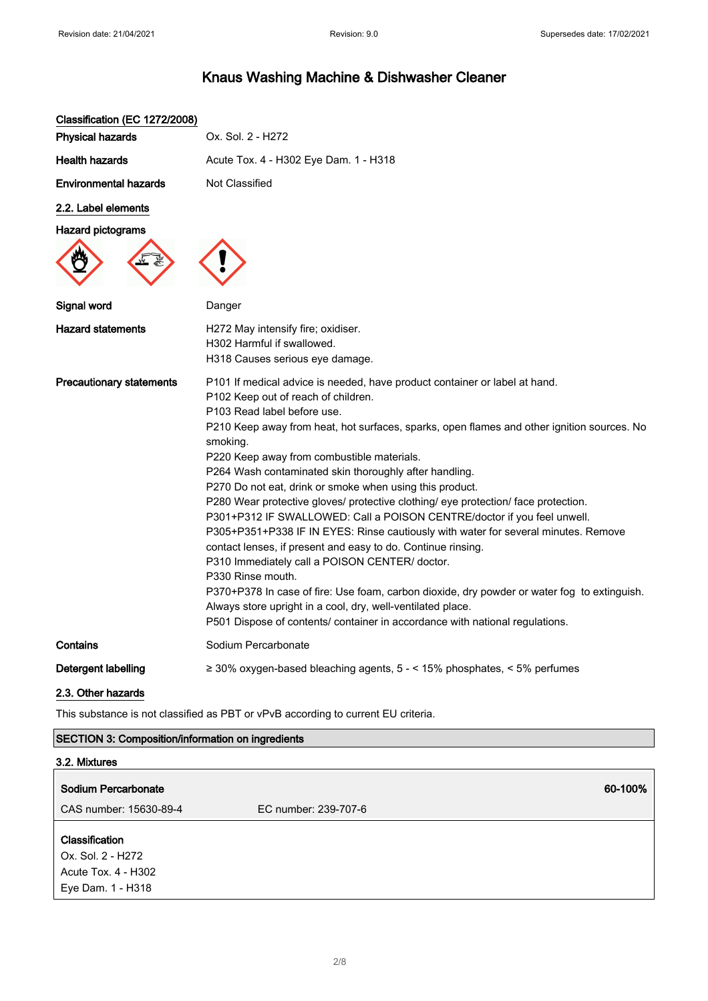| Classification (EC 1272/2008)   |                                                                                                                                                                                                                                                                                                                                                                                                                                                                                                                                                                                                                                                                                                                                                                                                                                                                                                                                                                                                                                                                            |
|---------------------------------|----------------------------------------------------------------------------------------------------------------------------------------------------------------------------------------------------------------------------------------------------------------------------------------------------------------------------------------------------------------------------------------------------------------------------------------------------------------------------------------------------------------------------------------------------------------------------------------------------------------------------------------------------------------------------------------------------------------------------------------------------------------------------------------------------------------------------------------------------------------------------------------------------------------------------------------------------------------------------------------------------------------------------------------------------------------------------|
| <b>Physical hazards</b>         | Ox. Sol. 2 - H272                                                                                                                                                                                                                                                                                                                                                                                                                                                                                                                                                                                                                                                                                                                                                                                                                                                                                                                                                                                                                                                          |
| <b>Health hazards</b>           | Acute Tox. 4 - H302 Eye Dam. 1 - H318                                                                                                                                                                                                                                                                                                                                                                                                                                                                                                                                                                                                                                                                                                                                                                                                                                                                                                                                                                                                                                      |
| <b>Environmental hazards</b>    | <b>Not Classified</b>                                                                                                                                                                                                                                                                                                                                                                                                                                                                                                                                                                                                                                                                                                                                                                                                                                                                                                                                                                                                                                                      |
| 2.2. Label elements             |                                                                                                                                                                                                                                                                                                                                                                                                                                                                                                                                                                                                                                                                                                                                                                                                                                                                                                                                                                                                                                                                            |
| <b>Hazard pictograms</b>        |                                                                                                                                                                                                                                                                                                                                                                                                                                                                                                                                                                                                                                                                                                                                                                                                                                                                                                                                                                                                                                                                            |
|                                 |                                                                                                                                                                                                                                                                                                                                                                                                                                                                                                                                                                                                                                                                                                                                                                                                                                                                                                                                                                                                                                                                            |
| Signal word                     | Danger                                                                                                                                                                                                                                                                                                                                                                                                                                                                                                                                                                                                                                                                                                                                                                                                                                                                                                                                                                                                                                                                     |
| <b>Hazard statements</b>        | H272 May intensify fire; oxidiser.<br>H302 Harmful if swallowed.<br>H318 Causes serious eye damage.                                                                                                                                                                                                                                                                                                                                                                                                                                                                                                                                                                                                                                                                                                                                                                                                                                                                                                                                                                        |
| <b>Precautionary statements</b> | P101 If medical advice is needed, have product container or label at hand.<br>P102 Keep out of reach of children.<br>P103 Read label before use.<br>P210 Keep away from heat, hot surfaces, sparks, open flames and other ignition sources. No<br>smoking.<br>P220 Keep away from combustible materials.<br>P264 Wash contaminated skin thoroughly after handling.<br>P270 Do not eat, drink or smoke when using this product.<br>P280 Wear protective gloves/ protective clothing/ eye protection/ face protection.<br>P301+P312 IF SWALLOWED: Call a POISON CENTRE/doctor if you feel unwell.<br>P305+P351+P338 IF IN EYES: Rinse cautiously with water for several minutes. Remove<br>contact lenses, if present and easy to do. Continue rinsing.<br>P310 Immediately call a POISON CENTER/ doctor.<br>P330 Rinse mouth.<br>P370+P378 In case of fire: Use foam, carbon dioxide, dry powder or water fog to extinguish.<br>Always store upright in a cool, dry, well-ventilated place.<br>P501 Dispose of contents/ container in accordance with national regulations. |
| Contains                        | Sodium Percarbonate                                                                                                                                                                                                                                                                                                                                                                                                                                                                                                                                                                                                                                                                                                                                                                                                                                                                                                                                                                                                                                                        |
| Detergent labelling             | $\geq$ 30% oxygen-based bleaching agents, 5 - < 15% phosphates, < 5% perfumes                                                                                                                                                                                                                                                                                                                                                                                                                                                                                                                                                                                                                                                                                                                                                                                                                                                                                                                                                                                              |
| 2.3. Other hazards              |                                                                                                                                                                                                                                                                                                                                                                                                                                                                                                                                                                                                                                                                                                                                                                                                                                                                                                                                                                                                                                                                            |

This substance is not classified as PBT or vPvB according to current EU criteria.

### SECTION 3: Composition/information on ingredients

| 3.2. Mixtures                                                                          |                      |  |
|----------------------------------------------------------------------------------------|----------------------|--|
| Sodium Percarbonate                                                                    | 60-100%              |  |
| CAS number: 15630-89-4                                                                 | EC number: 239-707-6 |  |
| <b>Classification</b><br>Ox. Sol. 2 - H272<br>Acute Tox. 4 - H302<br>Eye Dam. 1 - H318 |                      |  |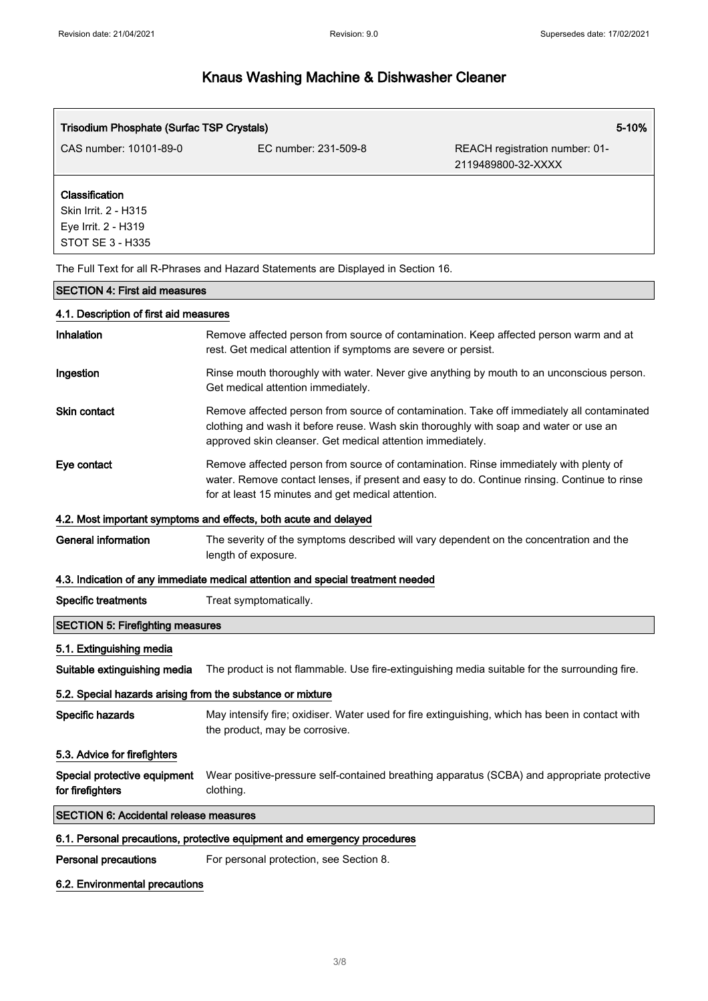$\sqrt{ }$ 

# Knaus Washing Machine & Dishwasher Cleaner

| <b>Trisodium Phosphate (Surfac TSP Crystals)</b><br>5-10%                         |                                                                                                                                                                                                                                                   |                                                      |
|-----------------------------------------------------------------------------------|---------------------------------------------------------------------------------------------------------------------------------------------------------------------------------------------------------------------------------------------------|------------------------------------------------------|
| CAS number: 10101-89-0                                                            | EC number: 231-509-8                                                                                                                                                                                                                              | REACH registration number: 01-<br>2119489800-32-XXXX |
| Classification<br>Skin Irrit. 2 - H315<br>Eye Irrit. 2 - H319<br>STOT SE 3 - H335 |                                                                                                                                                                                                                                                   |                                                      |
|                                                                                   | The Full Text for all R-Phrases and Hazard Statements are Displayed in Section 16.                                                                                                                                                                |                                                      |
| <b>SECTION 4: First aid measures</b>                                              |                                                                                                                                                                                                                                                   |                                                      |
| 4.1. Description of first aid measures                                            |                                                                                                                                                                                                                                                   |                                                      |
| Inhalation                                                                        | Remove affected person from source of contamination. Keep affected person warm and at<br>rest. Get medical attention if symptoms are severe or persist.                                                                                           |                                                      |
| Ingestion                                                                         | Rinse mouth thoroughly with water. Never give anything by mouth to an unconscious person.<br>Get medical attention immediately.                                                                                                                   |                                                      |
| <b>Skin contact</b>                                                               | Remove affected person from source of contamination. Take off immediately all contaminated<br>clothing and wash it before reuse. Wash skin thoroughly with soap and water or use an<br>approved skin cleanser. Get medical attention immediately. |                                                      |
| Eye contact                                                                       | Remove affected person from source of contamination. Rinse immediately with plenty of<br>water. Remove contact lenses, if present and easy to do. Continue rinsing. Continue to rinse<br>for at least 15 minutes and get medical attention.       |                                                      |
|                                                                                   | 4.2. Most important symptoms and effects, both acute and delayed                                                                                                                                                                                  |                                                      |
| <b>General information</b>                                                        | The severity of the symptoms described will vary dependent on the concentration and the<br>length of exposure.                                                                                                                                    |                                                      |
|                                                                                   | 4.3. Indication of any immediate medical attention and special treatment needed                                                                                                                                                                   |                                                      |
| <b>Specific treatments</b>                                                        | Treat symptomatically.                                                                                                                                                                                                                            |                                                      |
| <b>SECTION 5: Firefighting measures</b>                                           |                                                                                                                                                                                                                                                   |                                                      |
| 5.1. Extinguishing media                                                          |                                                                                                                                                                                                                                                   |                                                      |
| Suitable extinguishing media                                                      | The product is not flammable. Use fire-extinguishing media suitable for the surrounding fire.                                                                                                                                                     |                                                      |
| 5.2. Special hazards arising from the substance or mixture                        |                                                                                                                                                                                                                                                   |                                                      |
| Specific hazards                                                                  | May intensify fire; oxidiser. Water used for fire extinguishing, which has been in contact with<br>the product, may be corrosive.                                                                                                                 |                                                      |
| 5.3. Advice for firefighters                                                      |                                                                                                                                                                                                                                                   |                                                      |
| Special protective equipment<br>for firefighters                                  | Wear positive-pressure self-contained breathing apparatus (SCBA) and appropriate protective<br>clothing.                                                                                                                                          |                                                      |
| <b>SECTION 6: Accidental release measures</b>                                     |                                                                                                                                                                                                                                                   |                                                      |
|                                                                                   | 6.1. Personal precautions, protective equipment and emergency procedures                                                                                                                                                                          |                                                      |
| <b>Personal precautions</b>                                                       | For personal protection, see Section 8.                                                                                                                                                                                                           |                                                      |

### 6.2. Environmental precautions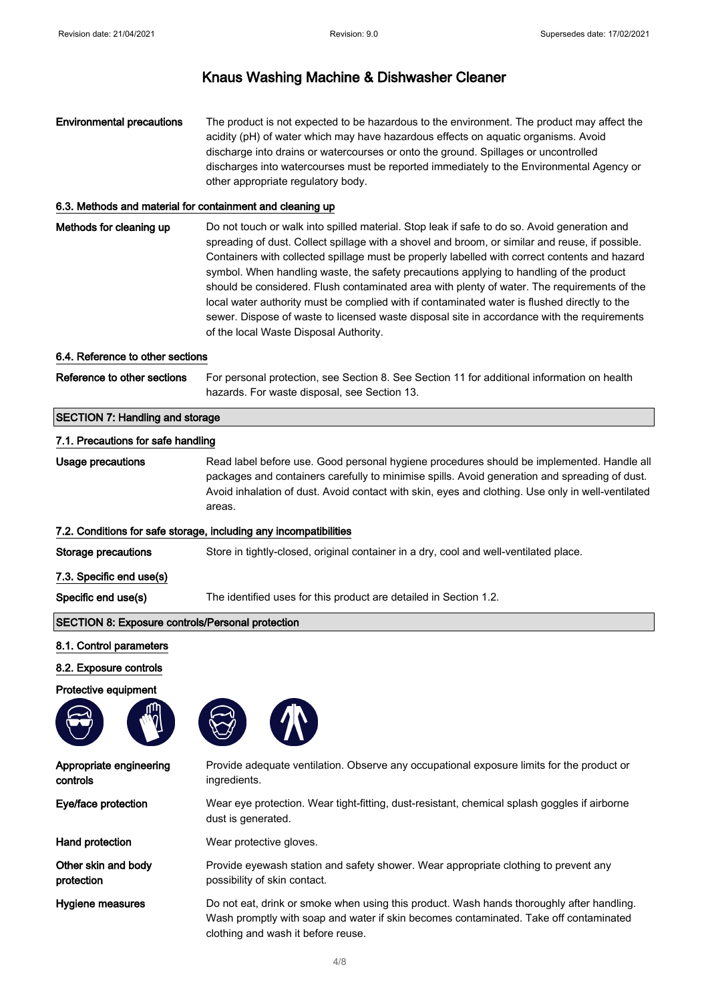### Environmental precautions The product is not expected to be hazardous to the environment. The product may affect the acidity (pH) of water which may have hazardous effects on aquatic organisms. Avoid discharge into drains or watercourses or onto the ground. Spillages or uncontrolled discharges into watercourses must be reported immediately to the Environmental Agency or other appropriate regulatory body.

#### 6.3. Methods and material for containment and cleaning up

Methods for cleaning up Do not touch or walk into spilled material. Stop leak if safe to do so. Avoid generation and spreading of dust. Collect spillage with a shovel and broom, or similar and reuse, if possible. Containers with collected spillage must be properly labelled with correct contents and hazard symbol. When handling waste, the safety precautions applying to handling of the product should be considered. Flush contaminated area with plenty of water. The requirements of the local water authority must be complied with if contaminated water is flushed directly to the sewer. Dispose of waste to licensed waste disposal site in accordance with the requirements of the local Waste Disposal Authority.

#### 6.4. Reference to other sections

Reference to other sections For personal protection, see Section 8. See Section 11 for additional information on health hazards. For waste disposal, see Section 13.

### SECTION 7: Handling and storage

#### 7.1. Precautions for safe handling

Usage precautions **Read label before use. Good personal hygiene procedures should be implemented. Handle all** packages and containers carefully to minimise spills. Avoid generation and spreading of dust. Avoid inhalation of dust. Avoid contact with skin, eyes and clothing. Use only in well-ventilated areas.

#### 7.2. Conditions for safe storage, including any incompatibilities

Storage precautions Store in tightly-closed, original container in a dry, cool and well-ventilated place.

- 7.3. Specific end use(s)
- 

Specific end use(s) The identified uses for this product are detailed in Section 1.2.

#### SECTION 8: Exposure controls/Personal protection

#### 8.1. Control parameters

8.2. Exposure controls

#### Protective equipment





Appropriate engineering controls Provide adequate ventilation. Observe any occupational exposure limits for the product or ingredients. Eye/face protection Wear eye protection. Wear tight-fitting, dust-resistant, chemical splash goggles if airborne dust is generated. Hand protection Wear protective gloves. Other skin and body protection Provide eyewash station and safety shower. Wear appropriate clothing to prevent any possibility of skin contact. Hygiene measures **Do not eat, drink or smoke when using this product**. Wash hands thoroughly after handling.

Wash promptly with soap and water if skin becomes contaminated. Take off contaminated clothing and wash it before reuse.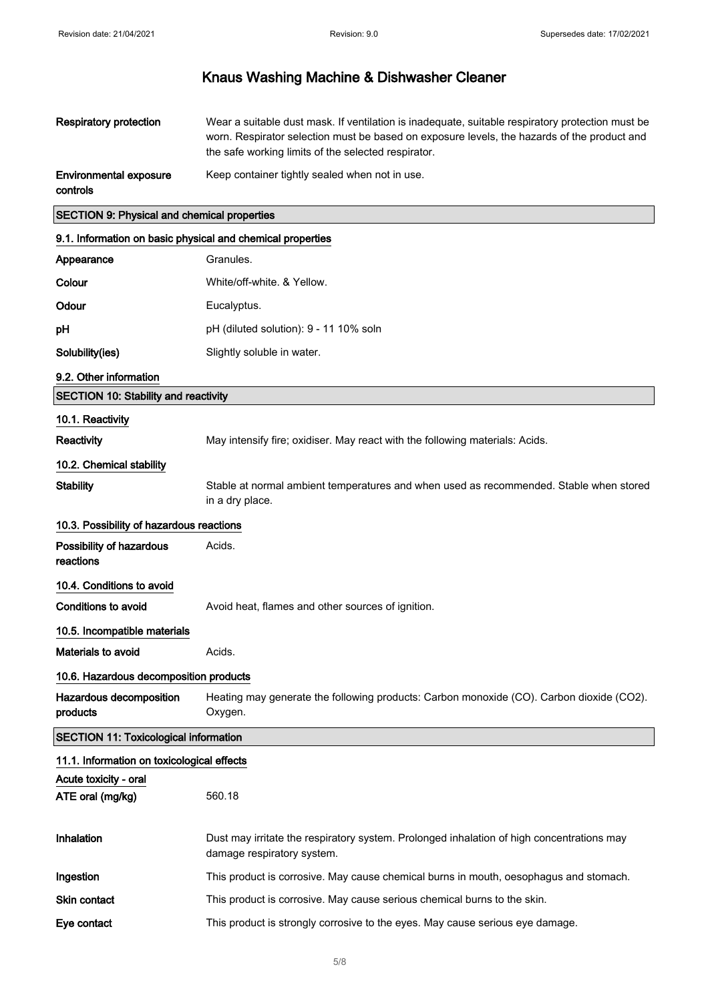| <b>Respiratory protection</b>                      | Wear a suitable dust mask. If ventilation is inadequate, suitable respiratory protection must be<br>worn. Respirator selection must be based on exposure levels, the hazards of the product and<br>the safe working limits of the selected respirator. |
|----------------------------------------------------|--------------------------------------------------------------------------------------------------------------------------------------------------------------------------------------------------------------------------------------------------------|
| <b>Environmental exposure</b><br>controls          | Keep container tightly sealed when not in use.                                                                                                                                                                                                         |
| <b>SECTION 9: Physical and chemical properties</b> |                                                                                                                                                                                                                                                        |

### 9.1. Information on basic physical and chemical properties

| 9. 1. MNOMMADON ON DASIC PHYSICAL AND CHEMICAL PROPERTES |                                                                                                                         |
|----------------------------------------------------------|-------------------------------------------------------------------------------------------------------------------------|
| Appearance                                               | Granules.                                                                                                               |
| Colour                                                   | White/off-white. & Yellow.                                                                                              |
| Odour                                                    | Eucalyptus.                                                                                                             |
| рH                                                       | pH (diluted solution): 9 - 11 10% soln                                                                                  |
| Solubility(ies)                                          | Slightly soluble in water.                                                                                              |
| 9.2. Other information                                   |                                                                                                                         |
| <b>SECTION 10: Stability and reactivity</b>              |                                                                                                                         |
| 10.1. Reactivity                                         |                                                                                                                         |
| Reactivity                                               | May intensify fire; oxidiser. May react with the following materials: Acids.                                            |
| 10.2. Chemical stability                                 |                                                                                                                         |
| <b>Stability</b>                                         | Stable at normal ambient temperatures and when used as recommended. Stable when stored<br>in a dry place.               |
| 10.3. Possibility of hazardous reactions                 |                                                                                                                         |
| Possibility of hazardous<br>reactions                    | Acids.                                                                                                                  |
| 10.4. Conditions to avoid                                |                                                                                                                         |
| <b>Conditions to avoid</b>                               | Avoid heat, flames and other sources of ignition.                                                                       |
| 10.5. Incompatible materials                             |                                                                                                                         |
| Materials to avoid                                       | Acids.                                                                                                                  |
| 10.6. Hazardous decomposition products                   |                                                                                                                         |
| Hazardous decomposition<br>products                      | Heating may generate the following products: Carbon monoxide (CO). Carbon dioxide (CO2).<br>Oxygen.                     |
| <b>SECTION 11: Toxicological information</b>             |                                                                                                                         |
| 11.1. Information on toxicological effects               |                                                                                                                         |
| Acute toxicity - oral                                    |                                                                                                                         |
| ATE oral (mg/kg)                                         | 560.18                                                                                                                  |
| Inhalation                                               | Dust may irritate the respiratory system. Prolonged inhalation of high concentrations may<br>damage respiratory system. |
| Ingestion                                                | This product is corrosive. May cause chemical burns in mouth, oesophagus and stomach.                                   |
| Skin contact                                             | This product is corrosive. May cause serious chemical burns to the skin.                                                |
| Eye contact                                              | This product is strongly corrosive to the eyes. May cause serious eye damage.                                           |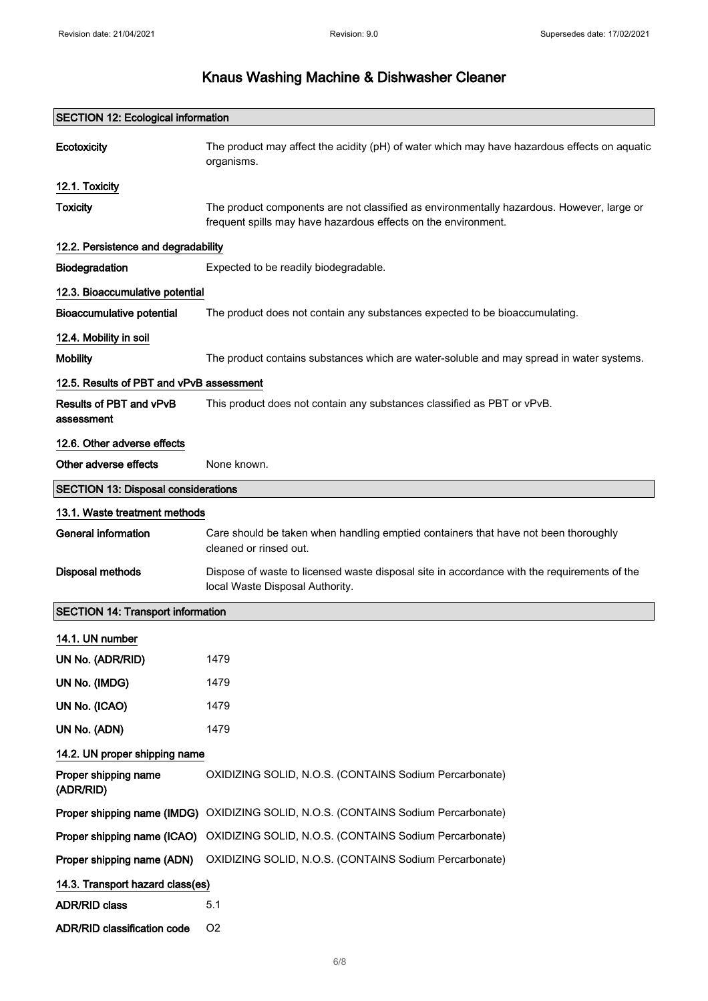| <b>SECTION 12: Ecological information</b>  |                                                                                                                                                             |
|--------------------------------------------|-------------------------------------------------------------------------------------------------------------------------------------------------------------|
| Ecotoxicity                                | The product may affect the acidity (pH) of water which may have hazardous effects on aquatic<br>organisms.                                                  |
| 12.1. Toxicity                             |                                                                                                                                                             |
| <b>Toxicity</b>                            | The product components are not classified as environmentally hazardous. However, large or<br>frequent spills may have hazardous effects on the environment. |
| 12.2. Persistence and degradability        |                                                                                                                                                             |
| Biodegradation                             | Expected to be readily biodegradable.                                                                                                                       |
| 12.3. Bioaccumulative potential            |                                                                                                                                                             |
| <b>Bioaccumulative potential</b>           | The product does not contain any substances expected to be bioaccumulating.                                                                                 |
| 12.4. Mobility in soil                     |                                                                                                                                                             |
| <b>Mobility</b>                            | The product contains substances which are water-soluble and may spread in water systems.                                                                    |
| 12.5. Results of PBT and vPvB assessment   |                                                                                                                                                             |
| Results of PBT and vPvB<br>assessment      | This product does not contain any substances classified as PBT or vPvB.                                                                                     |
| 12.6. Other adverse effects                |                                                                                                                                                             |
| Other adverse effects                      | None known.                                                                                                                                                 |
| <b>SECTION 13: Disposal considerations</b> |                                                                                                                                                             |
| 13.1. Waste treatment methods              |                                                                                                                                                             |
| <b>General information</b>                 | Care should be taken when handling emptied containers that have not been thoroughly<br>cleaned or rinsed out.                                               |
| <b>Disposal methods</b>                    | Dispose of waste to licensed waste disposal site in accordance with the requirements of the<br>local Waste Disposal Authority.                              |
| <b>SECTION 14: Transport information</b>   |                                                                                                                                                             |
| 14.1. UN number                            |                                                                                                                                                             |
| UN No. (ADR/RID)                           | 1479                                                                                                                                                        |
| UN No. (IMDG)                              | 1479                                                                                                                                                        |
| UN No. (ICAO)                              | 1479                                                                                                                                                        |
| UN No. (ADN)                               | 1479                                                                                                                                                        |
| 14.2. UN proper shipping name              |                                                                                                                                                             |
| Proper shipping name<br>(ADR/RID)          | OXIDIZING SOLID, N.O.S. (CONTAINS Sodium Percarbonate)                                                                                                      |
|                                            | Proper shipping name (IMDG) OXIDIZING SOLID, N.O.S. (CONTAINS Sodium Percarbonate)                                                                          |
|                                            | Proper shipping name (ICAO) OXIDIZING SOLID, N.O.S. (CONTAINS Sodium Percarbonate)                                                                          |
| Proper shipping name (ADN)                 | OXIDIZING SOLID, N.O.S. (CONTAINS Sodium Percarbonate)                                                                                                      |
| 14.3. Transport hazard class(es)           |                                                                                                                                                             |
| <b>ADR/RID class</b>                       | 5.1                                                                                                                                                         |
| <b>ADR/RID classification code</b>         | O <sub>2</sub>                                                                                                                                              |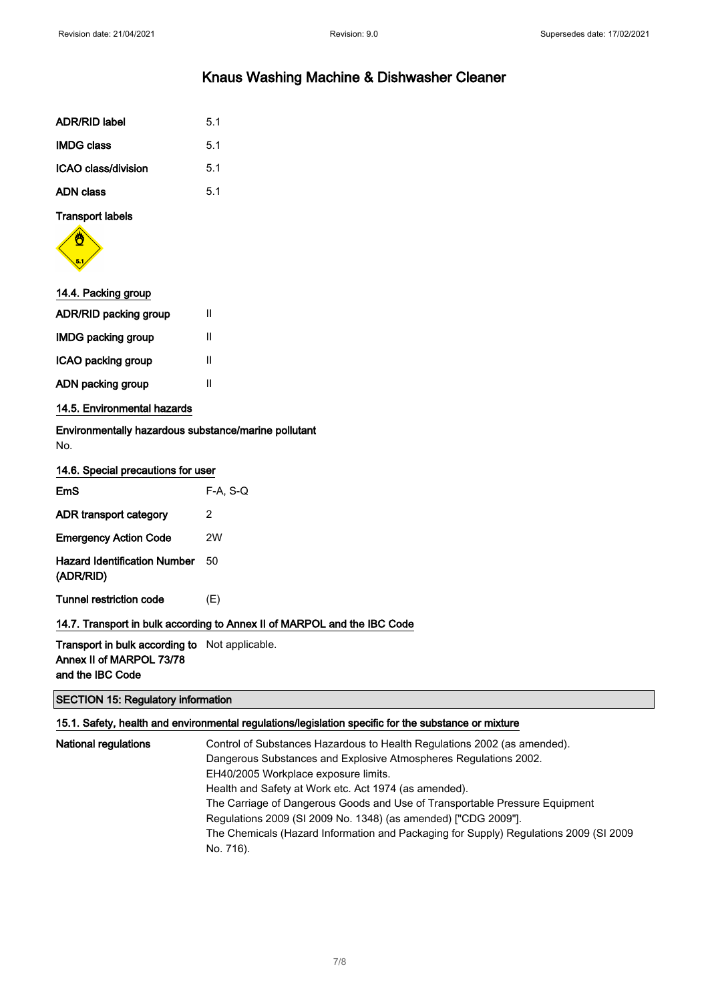| <b>ADR/RID label</b> | 5.1 |
|----------------------|-----|
| <b>IMDG class</b>    | 5.1 |
| ICAO class/division  | 5.1 |
| <b>ADN class</b>     | 5.1 |

### Transport labels



### 14.4. Packing group

| <b>ADR/RID packing group</b> | Ш |
|------------------------------|---|
| <b>IMDG packing group</b>    | Ш |
| ICAO packing group           | Ш |
| ADN packing group            | Ш |
|                              |   |

### 14.5. Environmental hazards

Environmentally hazardous substance/marine pollutant No.

| 14.6. Special precautions for user               |            |
|--------------------------------------------------|------------|
| EmS                                              | $F-A. S-Q$ |
| ADR transport category                           | 2          |
| <b>Emergency Action Code</b>                     | 2W         |
| <b>Hazard Identification Number</b><br>(ADR/RID) | 50         |
| Tunnel restriction code                          | (E)        |

### 14.7. Transport in bulk according to Annex II of MARPOL and the IBC Code

# Transport in bulk according to Not applicable.

Annex II of MARPOL 73/78 and the IBC Code

### SECTION 15: Regulatory information

### 15.1. Safety, health and environmental regulations/legislation specific for the substance or mixture

| <b>National regulations</b> | Control of Substances Hazardous to Health Regulations 2002 (as amended).<br>Dangerous Substances and Explosive Atmospheres Regulations 2002.<br>EH40/2005 Workplace exposure limits.                   |
|-----------------------------|--------------------------------------------------------------------------------------------------------------------------------------------------------------------------------------------------------|
|                             | Health and Safety at Work etc. Act 1974 (as amended).<br>The Carriage of Dangerous Goods and Use of Transportable Pressure Equipment<br>Regulations 2009 (SI 2009 No. 1348) (as amended) ["CDG 2009"]. |
|                             | The Chemicals (Hazard Information and Packaging for Supply) Regulations 2009 (SI 2009<br>No. 716).                                                                                                     |